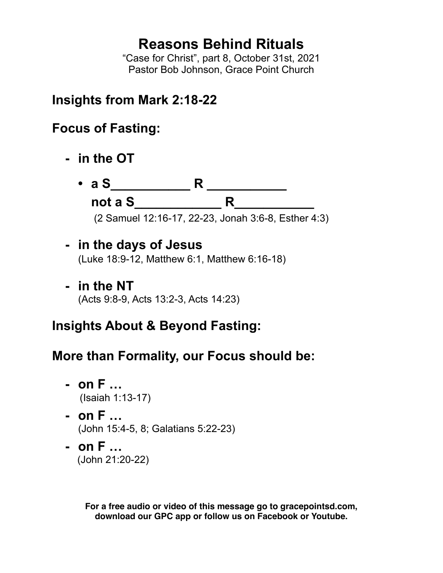## **Reasons Behind Rituals**

"Case for Christ", part 8, October 31st, 2021 Pastor Bob Johnson, Grace Point Church

### **Insights from Mark 2:18-22**

## **Focus of Fasting:**

- **- in the OT**
	- **a S\_\_\_\_\_\_\_\_\_\_\_ R \_\_\_\_\_\_\_\_\_\_\_ not a S\_\_\_\_\_\_\_\_\_\_\_\_ R\_\_\_\_\_\_\_\_\_\_\_**

(2 Samuel 12:16-17, 22-23, Jonah 3:6-8, Esther 4:3)

### **- in the days of Jesus**

(Luke 18:9-12, Matthew 6:1, Matthew 6:16-18)

**- in the NT** (Acts 9:8-9, Acts 13:2-3, Acts 14:23)

# **Insights About & Beyond Fasting:**

## **More than Formality, our Focus should be:**

- **- on F …** (Isaiah 1:13-17)
- **- on F …** (John 15:4-5, 8; Galatians 5:22-23)
- **- on F …** (John 21:20-22)

**For a free audio or video of this message go to gracepointsd.com, download our GPC app or follow us on Facebook or Youtube.**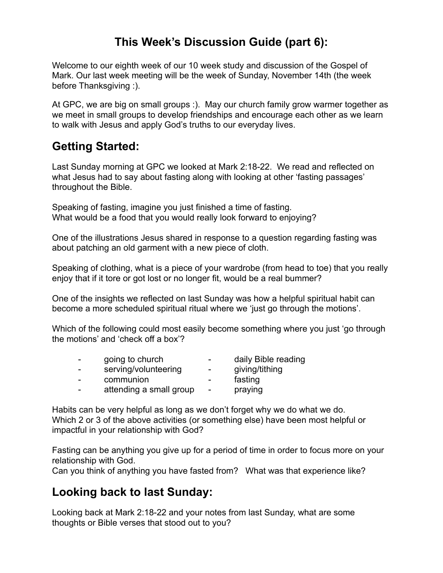#### **This Week's Discussion Guide (part 6):**

Welcome to our eighth week of our 10 week study and discussion of the Gospel of Mark. Our last week meeting will be the week of Sunday, November 14th (the week before Thanksgiving :).

At GPC, we are big on small groups :). May our church family grow warmer together as we meet in small groups to develop friendships and encourage each other as we learn to walk with Jesus and apply God's truths to our everyday lives.

#### **Getting Started:**

Last Sunday morning at GPC we looked at Mark 2:18-22. We read and reflected on what Jesus had to say about fasting along with looking at other 'fasting passages' throughout the Bible.

Speaking of fasting, imagine you just finished a time of fasting. What would be a food that you would really look forward to enjoying?

One of the illustrations Jesus shared in response to a question regarding fasting was about patching an old garment with a new piece of cloth.

Speaking of clothing, what is a piece of your wardrobe (from head to toe) that you really enjoy that if it tore or got lost or no longer fit, would be a real bummer?

One of the insights we reflected on last Sunday was how a helpful spiritual habit can become a more scheduled spiritual ritual where we 'just go through the motions'.

Which of the following could most easily become something where you just 'go through the motions' and 'check off a box'?

| - | going to church         | -                        | daily Bible reading |
|---|-------------------------|--------------------------|---------------------|
| - | serving/volunteering    | $\overline{\phantom{0}}$ | giving/tithing      |
| - | communion               | $\sim$                   | fasting             |
| - | attending a small group | $\overline{\phantom{a}}$ | praying             |
|   |                         |                          |                     |

Habits can be very helpful as long as we don't forget why we do what we do. Which 2 or 3 of the above activities (or something else) have been most helpful or impactful in your relationship with God?

Fasting can be anything you give up for a period of time in order to focus more on your relationship with God.

Can you think of anything you have fasted from? What was that experience like?

#### **Looking back to last Sunday:**

Looking back at Mark 2:18-22 and your notes from last Sunday, what are some thoughts or Bible verses that stood out to you?